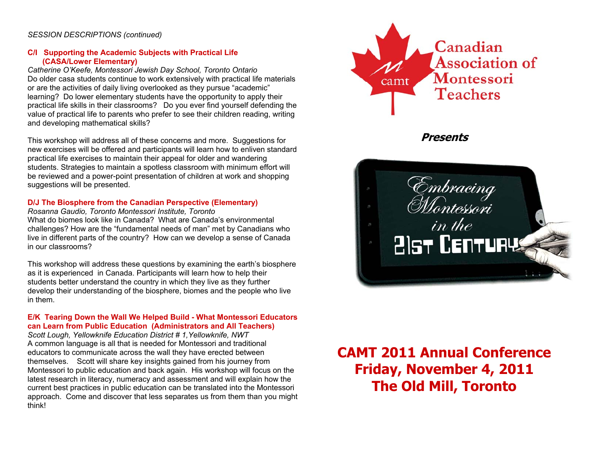### *SESSION DESCRIPTIONS (continued)*

### **C/I Supporting the Academic Subjects with Practical Life (CASA/Lower Elementary)**

*Catherine O'Keefe, Montessori Jewish Day School, Toronto Ontario*  Do older casa students continue to work extensively with practical life materials or are the activities of daily living overlooked as they pursue "academic" learning? Do lower elementary students have the opportunity to apply their practical life skills in their classrooms? Do you ever find yourself defending the value of practical life to parents who prefer to see their children reading, writing and developing mathematical skills?

This workshop will address all of these concerns and more. Suggestions for new exercises will be offered and participants will learn how to enliven standard practical life exercises to maintain their appeal for older and wandering students. Strategies to maintain a spotless classroom with minimum effort will be reviewed and a power-point presentation of children at work and shopping suggestions will be presented.

### **D/J The Biosphere from the Canadian Perspective (Elementary)**

*Rosanna Gaudio, Toronto Montessori Institute, Toronto*  What do biomes look like in Canada? What are Canada's environmental challenges? How are the "fundamental needs of man" met by Canadians who live in different parts of the country? How can we develop a sense of Canada in our classrooms?

This workshop will address these questions by examining the earth's biosphere as it is experienced in Canada. Participants will learn how to help their students better understand the country in which they live as they further develop their understanding of the biosphere, biomes and the people who live in them.

#### **E/K Tearing Down the Wall We Helped Build - What Montessori Educators can Learn from Public Education (Administrators and All Teachers)**

*Scott Lough, Yellowknife Education District # 1,Yellowknife, NWT*  A common language is all that is needed for Montessori and traditional educators to communicate across the wall they have erected between themselves. Scott will share key insights gained from his journey from Montessori to public education and back again. His workshop will focus on the latest research in literacy, numeracy and assessment and will explain how the current best practices in public education can be translated into the Montessori approach. Come and discover that less separates us from them than you might think!



**Presents** 



# **CAMT 2011 Annual Conference Friday, November 4, 2011 The Old Mill, Toronto**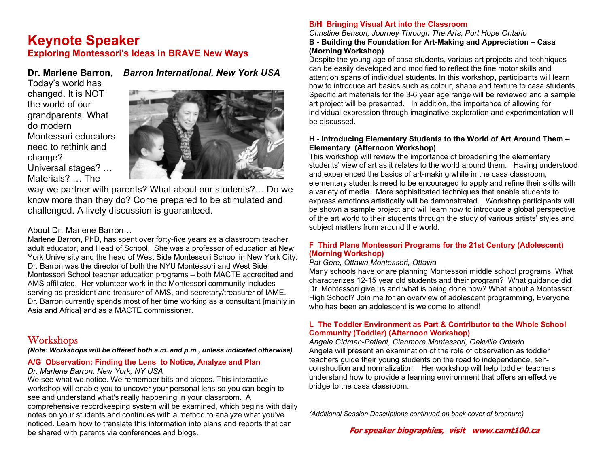# **Keynote Speaker Exploring Montessori's Ideas in BRAVE New Ways**

# **Dr. Marlene Barron,** *Barron International, New York USA*

Today's world has changed. It is NOT the world of our grandparents. What do modern Montessori educators need to rethink and change? Universal stages? … Materials? … The



way we partner with parents? What about our students?… Do we know more than they do? Come prepared to be stimulated and challenged. A lively discussion is guaranteed.

### About Dr. Marlene Barron…

Marlene Barron, PhD, has spent over forty-five years as a classroom teacher, adult educator, and Head of School. She was a professor of education at New York University and the head of West Side Montessori School in New York City. Dr. Barron was the director of both the NYU Montessori and West Side Montessori School teacher education programs – both MACTE accredited and AMS affiliated. Her volunteer work in the Montessori community includes serving as president and treasurer of AMS, and secretary/treasurer of IAME. Dr. Barron currently spends most of her time working as a consultant [mainly in Asia and Africa] and as a MACTE commissioner.

# **Workshops**

*(Note: Workshops will be offered both a.m. and p.m., unless indicated otherwise)* 

### **A/G Observation: Finding the Lens to Notice, Analyze and Plan**

*Dr. Marlene Barron, New York, NY USA* 

We see what we notice. We remember bits and pieces. This interactive workshop will enable you to uncover your personal lens so you can begin to see and understand what's really happening in your classroom. A comprehensive recordkeeping system will be examined, which begins with daily notes on your students and continues with a method to analyze what you've noticed. Learn how to translate this information into plans and reports that can be shared with parents via conferences and blogs.

### **B/H Bringing Visual Art into the Classroom**

### *Christine Benson, Journey Through The Arts, Port Hope Ontario*  **B - Building the Foundation for Art-Making and Appreciation – Casa (Morning Workshop)**

Despite the young age of casa students, various art projects and techniques can be easily developed and modified to reflect the fine motor skills and attention spans of individual students. In this workshop, participants will learn how to introduce art basics such as colour, shape and texture to casa students. Specific art materials for the 3-6 year age range will be reviewed and a sample art project will be presented. In addition, the importance of allowing for individual expression through imaginative exploration and experimentation will be discussed.

### **H - Introducing Elementary Students to the World of Art Around Them – Elementary (Afternoon Workshop)**

This workshop will review the importance of broadening the elementary students' view of art as it relates to the world around them. Having understood and experienced the basics of art-making while in the casa classroom, elementary students need to be encouraged to apply and refine their skills with a variety of media. More sophisticated techniques that enable students to express emotions artistically will be demonstrated. Workshop participants will be shown a sample project and will learn how to introduce a global perspective of the art world to their students through the study of various artists' styles and subject matters from around the world.

### **F Third Plane Montessori Programs for the 21st Century (Adolescent) (Morning Workshop)**

### *Pat Gere, Ottawa Montessori, Ottawa*

Many schools have or are planning Montessori middle school programs. What characterizes 12-15 year old students and their program? What guidance did Dr. Montessori give us and what is being done now? What about a Montessori High School? Join me for an overview of adolescent programming, Everyone who has been an adolescent is welcome to attend!

### **L The Toddler Environment as Part & Contributor to the Whole School Community (Toddler) (Afternoon Workshop)**

*Angela Gidman-Patient, Clanmore Montessori, Oakville Ontario*  Angela will present an examination of the role of observation as toddler teachers guide their young students on the road to independence, selfconstruction and normalization. Her workshop will help toddler teachers understand how to provide a learning environment that offers an effective bridge to the casa classroom.

*(Additional Session Descriptions continued on back cover of brochure)* 

**For speaker biographies, visit www.camt100.ca**